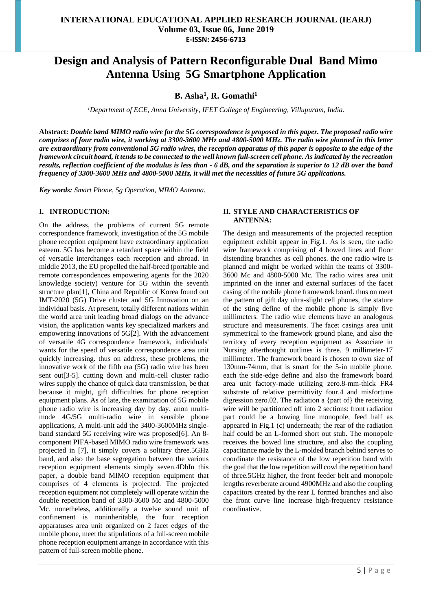# **Design and Analysis of Pattern Reconfigurable Dual Band Mimo Antenna Using 5G Smartphone Application**

## **B. Asha<sup>1</sup> , R. Gomathi<sup>1</sup>**

*<sup>1</sup>Department of ECE, Anna University, IFET College of Engineering, Villupuram, India.*

**Abstract:** *Double band MIMO radio wire for the 5G correspondence is proposed in this paper. The proposed radio wire comprises of four radio wire, it working at 3300-3600 MHz and 4800-5000 MHz. The radio wire planned in this letter are extraordinary from conventional 5G radio wires, the reception apparatus of this paper is opposite to the edge of the framework circuit board, it tends to be connected to the well known full-screen cell phone. As indicated by the recreation results, reflection coefficient of the modulus is less than - 6 dB, and the separation is superior to 12 dB over the band frequency of 3300-3600 MHz and 4800-5000 MHz, it will met the necessities of future 5G applications.*

*Key words: Smart Phone, 5g Operation, MIMO Antenna.*

#### **I. INTRODUCTION:**

On the address, the problems of current 5G remote correspondence framework, investigation of the 5G mobile phone reception equipment have extraordinary application esteem. 5G has become a retardant space within the field of versatile interchanges each reception and abroad. In middle 2013, the EU propelled the half-breed (portable and remote correspondences empowering agents for the 2020 knowledge society) venture for 5G within the seventh structure plan[1], China and Republic of Korea found out IMT-2020 (5G) Drive cluster and 5G Innovation on an individual basis. At present, totally different nations within the world area unit leading broad dialogs on the advance vision, the application wants key specialized markers and empowering innovations of 5G[2]. With the advancement of versatile 4G correspondence framework, individuals' wants for the speed of versatile correspondence area unit quickly increasing. thus on address, these problems, the innovative work of the fifth era (5G) radio wire has been sent out[3-5]. cutting down and multi-cell cluster radio wires supply the chance of quick data transmission, be that because it might, gift difficulties for phone reception equipment plans. As of late, the examination of 5G mobile phone radio wire is increasing day by day. anon multimode 4G/5G multi-radio wire in sensible phone applications, A multi-unit add the 3400-3600MHz singleband standard 5G receiving wire was proposed[6]. An 8 component PIFA-based MIMO radio wire framework was projected in [7], it simply covers a solitary three.5GHz band, and also the base segregation between the various reception equipment elements simply seven.4DbIn this paper, a double band MIMO reception equipment that comprises of 4 elements is projected. The projected reception equipment not completely will operate within the double repetition band of 3300-3600 Mc and 4800-5000 Mc. nonetheless, additionally a twelve sound unit of confinement is noninheritable, the four reception apparatuses area unit organized on 2 facet edges of the mobile phone, meet the stipulations of a full-screen mobile phone reception equipment arrange in accordance with this pattern of full-screen mobile phone.

#### **II. STYLE AND CHARACTERISTICS OF ANTENNA:**

The design and measurements of the projected reception equipment exhibit appear in Fig.1. As is seen, the radio wire framework comprising of 4 bowed lines and floor distending branches as cell phones. the one radio wire is planned and might be worked within the teams of 3300- 3600 Mc and 4800-5000 Mc. The radio wires area unit imprinted on the inner and external surfaces of the facet casing of the mobile phone framework board. thus on meet the pattern of gift day ultra-slight cell phones, the stature of the sting define of the mobile phone is simply five millimeters. The radio wire elements have an analogous structure and measurements. The facet casings area unit symmetrical to the framework ground plane, and also the territory of every reception equipment as Associate in Nursing afterthought outlines is three. 9 millimeter-17 millimeter. The framework board is chosen to own size of 130mm-74mm, that is smart for the 5-in mobile phone. each the side-edge define and also the framework board area unit factory-made utilizing zero.8-mm-thick FR4 substrate of relative permittivity four.4 and misfortune digression zero.02. The radiation a {part of} the receiving wire will be partitioned off into 2 sections: front radiation part could be a bowing line monopole, feed half as appeared in Fig.1 (c) underneath; the rear of the radiation half could be an L-formed short out stub. The monopole receives the bowed line structure, and also the coupling capacitance made by the L-molded branch behind serves to coordinate the resistance of the low repetition band with the goal that the low repetition will cowl the repetition band of three.5GHz higher, the front feeder belt and monopole lengths reverberate around 4900MHz and also the coupling capacitors created by the rear L formed branches and also the front curve line increase high-frequency resistance coordinative.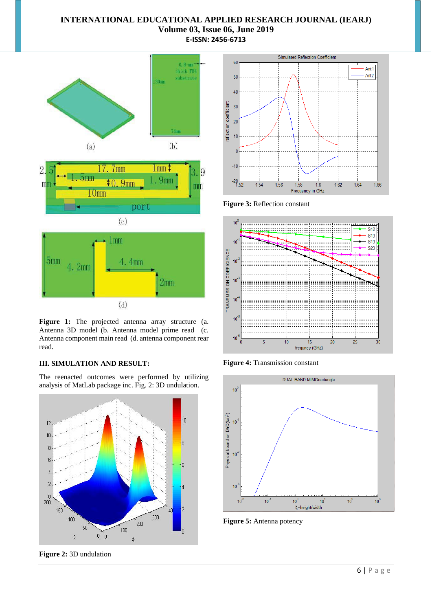## **INTERNATIONAL EDUCATIONAL APPLIED RESEARCH JOURNAL (IEARJ) Volume 03, Issue 06, June 2019 E-ISSN: 2456-6713**



Figure 1: The projected antenna array structure (a. Antenna 3D model (b. Antenna model prime read (c. Antenna component main read (d. antenna component rear read.

### **III. SIMULATION AND RESULT:**

The reenacted outcomes were performed by utilizing analysis of MatLab package inc. Fig. 2: 3D undulation.



**Figure 2:** 3D undulation



**Figure 3:** Reflection constant



**Figure 4:** Transmission constant



**Figure 5:** Antenna potency